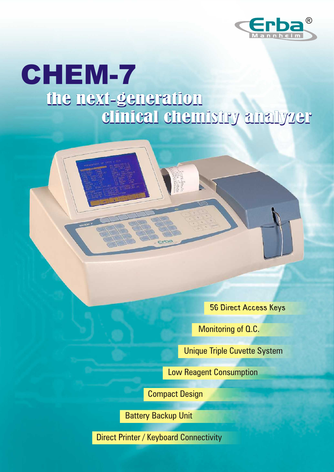

# the next-generation clinical chemistry analyzer CHEM-7

56 Direct Access Keys

Monitoring of Q.C.

Unique Triple Cuvette System

Low Reagent Consumption

Compact Design

Battery Backup Unit

**Direct Printer / Keyboard Connectivity**